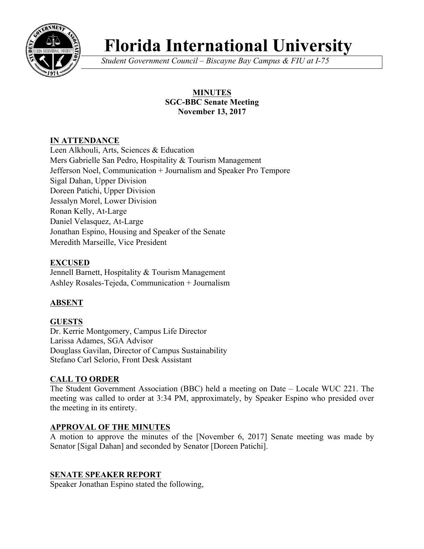

# **Florida International University**

*Student Government Council – Biscayne Bay Campus & FIU at I-75*

## **MINUTES SGC-BBC Senate Meeting November 13, 2017**

# **IN ATTENDANCE**

Leen Alkhouli, Arts, Sciences & Education Mers Gabrielle San Pedro, Hospitality & Tourism Management Jefferson Noel, Communication + Journalism and Speaker Pro Tempore Sigal Dahan, Upper Division Doreen Patichi, Upper Division Jessalyn Morel, Lower Division Ronan Kelly, At-Large Daniel Velasquez, At-Large Jonathan Espino, Housing and Speaker of the Senate Meredith Marseille, Vice President

# **EXCUSED**

Jennell Barnett, Hospitality & Tourism Management Ashley Rosales-Tejeda, Communication + Journalism

# **ABSENT**

# **GUESTS**

Dr. Kerrie Montgomery, Campus Life Director Larissa Adames, SGA Advisor Douglass Gavilan, Director of Campus Sustainability Stefano Carl Selorio, Front Desk Assistant

# **CALL TO ORDER**

The Student Government Association (BBC) held a meeting on Date – Locale WUC 221. The meeting was called to order at 3:34 PM, approximately, by Speaker Espino who presided over the meeting in its entirety.

# **APPROVAL OF THE MINUTES**

A motion to approve the minutes of the [November 6, 2017] Senate meeting was made by Senator [Sigal Dahan] and seconded by Senator [Doreen Patichi].

# **SENATE SPEAKER REPORT**

Speaker Jonathan Espino stated the following,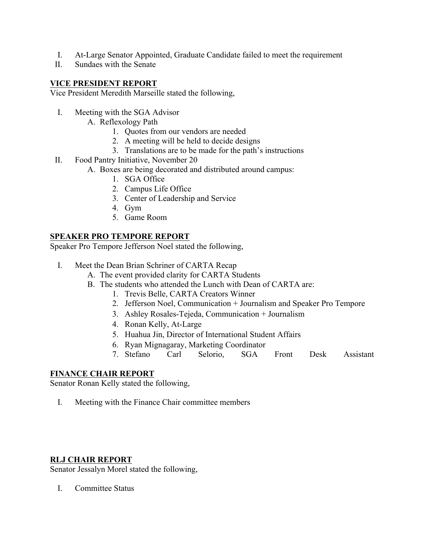- I. At-Large Senator Appointed, Graduate Candidate failed to meet the requirement
- II. Sundaes with the Senate

## **VICE PRESIDENT REPORT**

Vice President Meredith Marseille stated the following,

- I. Meeting with the SGA Advisor
	- A. Reflexology Path
		- 1. Quotes from our vendors are needed
		- 2. A meeting will be held to decide designs
		- 3. Translations are to be made for the path's instructions
- II. Food Pantry Initiative, November 20
	- A. Boxes are being decorated and distributed around campus:
		- 1. SGA Office
		- 2. Campus Life Office
		- 3. Center of Leadership and Service
		- 4. Gym
		- 5. Game Room

## **SPEAKER PRO TEMPORE REPORT**

Speaker Pro Tempore Jefferson Noel stated the following,

- I. Meet the Dean Brian Schriner of CARTA Recap
	- A. The event provided clarity for CARTA Students
	- B. The students who attended the Lunch with Dean of CARTA are:
		- 1. Trevis Belle, CARTA Creators Winner
		- 2. Jefferson Noel, Communication + Journalism and Speaker Pro Tempore
		- 3. Ashley Rosales-Tejeda, Communication + Journalism
		- 4. Ronan Kelly, At-Large
		- 5. Huahua Jin, Director of International Student Affairs
		- 6. Ryan Mignagaray, Marketing Coordinator
		- 7. Stefano Carl Selorio, SGA Front Desk Assistant

## **FINANCE CHAIR REPORT**

Senator Ronan Kelly stated the following,

I. Meeting with the Finance Chair committee members

## **RLJ CHAIR REPORT**

Senator Jessalyn Morel stated the following,

I. Committee Status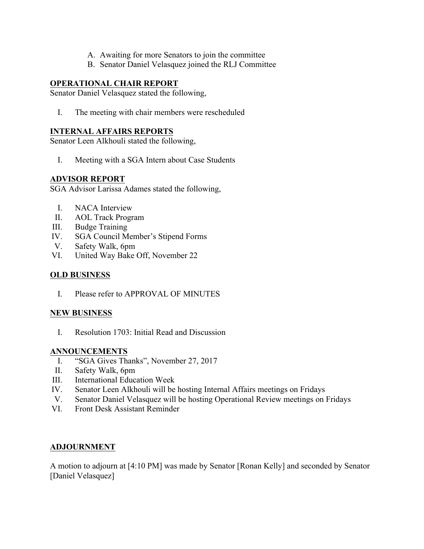- A. Awaiting for more Senators to join the committee
- B. Senator Daniel Velasquez joined the RLJ Committee

## **OPERATIONAL CHAIR REPORT**

Senator Daniel Velasquez stated the following,

I. The meeting with chair members were rescheduled

### **INTERNAL AFFAIRS REPORTS**

Senator Leen Alkhouli stated the following,

I. Meeting with a SGA Intern about Case Students

#### **ADVISOR REPORT**

SGA Advisor Larissa Adames stated the following,

- I. NACA Interview
- II. AOL Track Program
- III. Budge Training
- IV. SGA Council Member's Stipend Forms
- V. Safety Walk, 6pm
- VI. United Way Bake Off, November 22

#### **OLD BUSINESS**

I. Please refer to APPROVAL OF MINUTES

#### **NEW BUSINESS**

I. Resolution 1703: Initial Read and Discussion

#### **ANNOUNCEMENTS**

- I. "SGA Gives Thanks", November 27, 2017
- II. Safety Walk, 6pm
- III. International Education Week
- IV. Senator Leen Alkhouli will be hosting Internal Affairs meetings on Fridays
- V. Senator Daniel Velasquez will be hosting Operational Review meetings on Fridays
- VI. Front Desk Assistant Reminder

#### **ADJOURNMENT**

A motion to adjourn at [4:10 PM] was made by Senator [Ronan Kelly] and seconded by Senator [Daniel Velasquez]